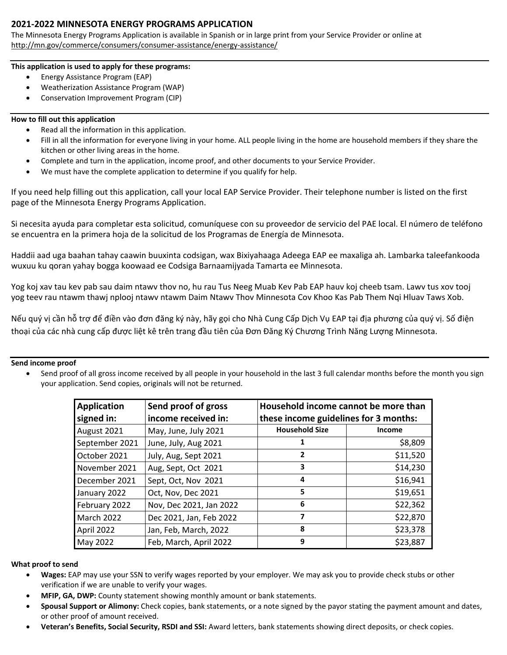## **2021-2022 MINNESOTA ENERGY PROGRAMS APPLICATION**

The Minnesota Energy Programs Application is available in Spanish or in large print from your Service Provider or online at <http://mn.gov/commerce/consumers/consumer-assistance/energy-assistance/>

#### **This application is used to apply for these programs:**

- Energy Assistance Program (EAP)
- Weatherization Assistance Program (WAP)
- Conservation Improvement Program (CIP)

#### **How to fill out this application**

- Read all the information in this application.
- Fill in all the information for everyone living in your home. ALL people living in the home are household members if they share the kitchen or other living areas in the home.
- Complete and turn in the application, income proof, and other documents to your Service Provider.
- We must have the complete application to determine if you qualify for help.

If you need help filling out this application, call your local EAP Service Provider. Their telephone number is listed on the first page of the Minnesota Energy Programs Application.

Si necesita ayuda para completar esta solicitud, comuníquese con su proveedor de servicio del PAE local. El número de teléfono se encuentra en la primera hoja de la solicitud de los Programas de Energía de Minnesota.

Haddii aad uga baahan tahay caawin buuxinta codsigan, wax Bixiyahaaga Adeega EAP ee maxaliga ah. Lambarka taleefankooda wuxuu ku qoran yahay bogga koowaad ee Codsiga Barnaamijyada Tamarta ee Minnesota.

Yog koj xav tau kev pab sau daim ntawv thov no, hu rau Tus Neeg Muab Kev Pab EAP hauv koj cheeb tsam. Lawv tus xov tooj yog teev rau ntawm thawj nplooj ntawv ntawm Daim Ntawv Thov Minnesota Cov Khoo Kas Pab Them Nqi Hluav Taws Xob.

Nếu quý vị cần hỗ trợ để điền vào đơn đăng ký này, hãy gọi cho Nhà Cung Cấp Dịch Vụ EAP tại địa phương của quý vị. Số điện thoại của các nhà cung cấp được liệt kê trên trang đầu tiên của Đơn Đăng Ký Chương Trình Năng Lượng Minnesota.

#### **Send income proof**

• Send proof of all gross income received by all people in your household in the last 3 full calendar months before the month you sign your application. Send copies, originals will not be returned.

| <b>Application</b><br>signed in: | Send proof of gross<br>income received in: | Household income cannot be more than<br>these income guidelines for 3 months: |          |  |  |
|----------------------------------|--------------------------------------------|-------------------------------------------------------------------------------|----------|--|--|
| August 2021                      | May, June, July 2021                       | <b>Household Size</b>                                                         | Income   |  |  |
| September 2021                   | June, July, Aug 2021                       |                                                                               | \$8,809  |  |  |
| October 2021                     | July, Aug, Sept 2021                       | $\mathbf{2}$                                                                  | \$11,520 |  |  |
| November 2021                    | Aug, Sept, Oct 2021                        | 3                                                                             | \$14,230 |  |  |
| December 2021                    | Sept, Oct, Nov 2021                        | 4                                                                             | \$16,941 |  |  |
| January 2022                     | Oct, Nov, Dec 2021                         | 5                                                                             | \$19,651 |  |  |
| February 2022                    | Nov, Dec 2021, Jan 2022                    | 6                                                                             | \$22,362 |  |  |
| March 2022                       | Dec 2021, Jan, Feb 2022                    | 7                                                                             | \$22,870 |  |  |
| April 2022                       | Jan, Feb, March, 2022                      | 8                                                                             | \$23,378 |  |  |
| May 2022                         | Feb, March, April 2022                     | 9                                                                             | \$23,887 |  |  |

#### **What proof to send**

- **Wages:** EAP may use your SSN to verify wages reported by your employer. We may ask you to provide check stubs or other verification if we are unable to verify your wages.
- **MFIP, GA, DWP:** County statement showing monthly amount or bank statements.
- Spousal Support or Alimony: Check copies, bank statements, or a note signed by the payor stating the payment amount and dates, or other proof of amount received.
- **Veteran's Benefits, Social Security, RSDI and SSI:** Award letters, bank statements showing direct deposits, or check copies.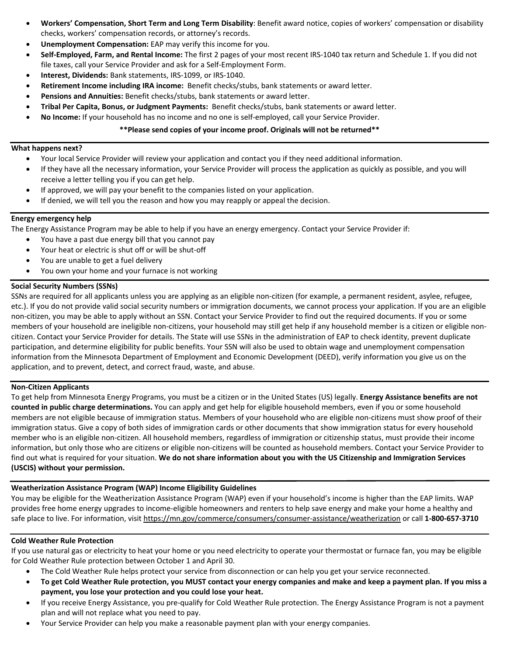- **Workers' Compensation, Short Term and Long Term Disability**: Benefit award notice, copies of workers' compensation or disability checks, workers' compensation records, or attorney's records.
- **Unemployment Compensation:** EAP may verify this income for you.
- **Self-Employed, Farm, and Rental Income:** The first 2 pages of your most recent IRS-1040 tax return and Schedule 1. If you did not file taxes, call your Service Provider and ask for a Self-Employment Form.
- **Interest, Dividends:** Bank statements, IRS-1099, or IRS-1040.
- **Retirement Income including IRA income:** Benefit checks/stubs, bank statements or award letter.
- **Pensions and Annuities:** Benefit checks/stubs, bank statements or award letter.
- **Tribal Per Capita, Bonus, or Judgment Payments:** Benefit checks/stubs, bank statements or award letter.
- **No Income:** If your household has no income and no one is self-employed, call your Service Provider.

#### **\*\*Please send copies of your income proof. Originals will not be returned\*\***

#### **What happens next?**

- Your local Service Provider will review your application and contact you if they need additional information.
- If they have all the necessary information, your Service Provider will process the application as quickly as possible, and you will receive a letter telling you if you can get help.
- If approved, we will pay your benefit to the companies listed on your application.
- If denied, we will tell you the reason and how you may reapply or appeal the decision.

#### **Energy emergency help**

The Energy Assistance Program may be able to help if you have an energy emergency. Contact your Service Provider if:

- You have a past due energy bill that you cannot pay
- Your heat or electric is shut off or will be shut-off
- You are unable to get a fuel delivery
- You own your home and your furnace is not working

#### **Social Security Numbers (SSNs)**

SSNs are required for all applicants unless you are applying as an eligible non-citizen (for example, a permanent resident, asylee, refugee, etc.). If you do not provide valid social security numbers or immigration documents, we cannot process your application. If you are an eligible non-citizen, you may be able to apply without an SSN. Contact your Service Provider to find out the required documents. If you or some members of your household are ineligible non-citizens, your household may still get help if any household member is a citizen or eligible noncitizen. Contact your Service Provider for details. The State will use SSNs in the administration of EAP to check identity, prevent duplicate participation, and determine eligibility for public benefits. Your SSN will also be used to obtain wage and unemployment compensation information from the Minnesota Department of Employment and Economic Development (DEED), verify information you give us on the application, and to prevent, detect, and correct fraud, waste, and abuse.

#### **Non-Citizen Applicants**

To get help from Minnesota Energy Programs, you must be a citizen or in the United States (US) legally. **Energy Assistance benefits are not counted in public charge determinations.** You can apply and get help for eligible household members, even if you or some household members are not eligible because of immigration status. Members of your household who are eligible non-citizens must show proof of their immigration status. Give a copy of both sides of immigration cards or other documents that show immigration status for every household member who is an eligible non-citizen. All household members, regardless of immigration or citizenship status, must provide their income information, but only those who are citizens or eligible non-citizens will be counted as household members. Contact your Service Provider to find out what is required for your situation. **We do not share information about you with the US Citizenship and Immigration Services (USCIS) without your permission.** 

#### **Weatherization Assistance Program (WAP) Income Eligibility Guidelines**

You may be eligible for the Weatherization Assistance Program (WAP) even if your household's income is higher than the EAP limits. WAP provides free home energy upgrades to income-eligible homeowners and renters to help save energy and make your home a healthy and safe place to live. For information, visit https://mn.gov/commerce/consumers/consumer-assistance/weatherization or call **1-800-657-3710**

#### **Cold Weather Rule Protection**

If you use natural gas or electricity to heat your home or you need electricity to operate your thermostat or furnace fan, you may be eligible for Cold Weather Rule protection between October 1 and April 30.

- The Cold Weather Rule helps protect your service from disconnection or can help you get your service reconnected.
- **To get Cold Weather Rule protection, you MUST contact your energy companies and make and keep a payment plan. If you miss a payment, you lose your protection and you could lose your heat.**
- If you receive Energy Assistance, you pre-qualify for Cold Weather Rule protection. The Energy Assistance Program is not a payment plan and will not replace what you need to pay.
- Your Service Provider can help you make a reasonable payment plan with your energy companies.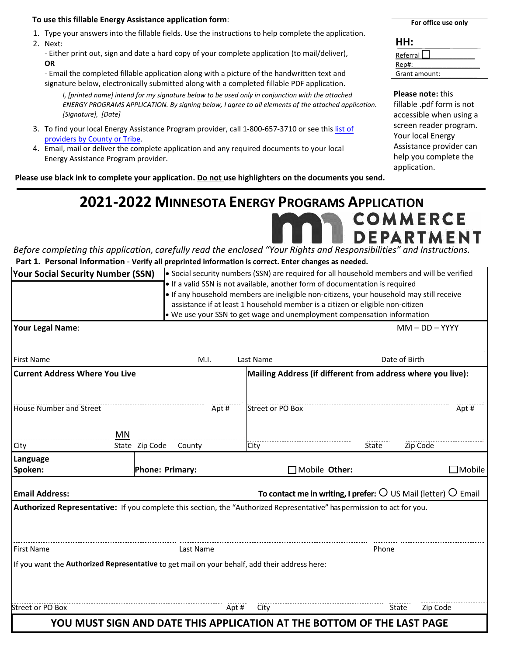#### **To use this fillable Energy Assistance application form**:

- 1. Type your answers into the fillable fields. Use the instructions to help complete the application.
- 2. Next:

- Either print out, sign and date a hard copy of your complete application (to mail/deliver), **OR**

- Email the completed fillable application along with a picture of the handwritten text and signature below, electronically submitted along with a completed fillable PDF application.

*I, [printed name] intend for my signature below to be used only in conjunction with the attached ENERGY PROGRAMS APPLICATION. By signing below, I agree to all elements of the attached application. [Signature], [Date]*

- 3. [To find your local Energy Assistance Pro](https://mn.gov/commerce/consumers/consumer-assistance/energy-assistance/eap-provider.jsp)gram provider, call 1-800-657-3710 or see this list of providers by County or Tribe.
- 4. Email, mail or deliver the complete application and any required documents to your local Energy Assistance Program provider.

**Please use black ink to complete your application. Do not use highlighters on the documents you send.** 

| For office use only |  |
|---------------------|--|
| HH:                 |  |
| Referral            |  |
| Rep#:               |  |
| Grant amount:       |  |

#### **Please note:** this

fillable .pdf form is not accessible when using a screen reader program. Your local Energy Assistance provider can help you complete the application.

# **COMMERCE DEPARTMENT**

*Before completing this application, carefully read the enclosed "Your Rights and Responsibilities" and Instructions.* **Part 1. Personal Information** - **Verify all preprinted information is correct. Enter changes as needed.**

**2021-2022 MINNESOTA ENERGY PROGRAMS APPLICATION** 

| <b>Your Social Security Number (SSN)</b>                                                                                                      |                       |                  | • Social security numbers (SSN) are required for all household members and will be verified                                                                                                                                                                                                                                           |                   |
|-----------------------------------------------------------------------------------------------------------------------------------------------|-----------------------|------------------|---------------------------------------------------------------------------------------------------------------------------------------------------------------------------------------------------------------------------------------------------------------------------------------------------------------------------------------|-------------------|
|                                                                                                                                               |                       |                  | . If a valid SSN is not available, another form of documentation is required<br>. If any household members are ineligible non-citizens, your household may still receive<br>assistance if at least 1 household member is a citizen or eligible non-citizen<br>. We use your SSN to get wage and unemployment compensation information |                   |
| Your Legal Name:                                                                                                                              |                       |                  |                                                                                                                                                                                                                                                                                                                                       | $MM - DD - YYYY$  |
| <b>First Name</b>                                                                                                                             | M.I.                  | Last Name        |                                                                                                                                                                                                                                                                                                                                       | Date of Birth     |
| <b>Current Address Where You Live</b>                                                                                                         |                       |                  | Mailing Address (if different from address where you live):                                                                                                                                                                                                                                                                           |                   |
| House Number and Street<br><b>MN</b>                                                                                                          | Apt#                  | Street or PO Box |                                                                                                                                                                                                                                                                                                                                       | Apt#              |
| City                                                                                                                                          | State Zip Code County | City             | State                                                                                                                                                                                                                                                                                                                                 | Zip Code          |
| Language<br>Spoken:                                                                                                                           |                       |                  |                                                                                                                                                                                                                                                                                                                                       | $\Box$ Mobile     |
| Email Address: $\ldots$ Email Address: $\ldots$ Email extendination contact me in writing, I prefer: $\Omega$ US Mail (letter) $\Omega$ Email |                       |                  |                                                                                                                                                                                                                                                                                                                                       |                   |
| Authorized Representative: If you complete this section, the "Authorized Representative" has permission to act for you.                       |                       |                  |                                                                                                                                                                                                                                                                                                                                       |                   |
| <b>First Name</b>                                                                                                                             | Last Name             |                  | Phone                                                                                                                                                                                                                                                                                                                                 |                   |
| If you want the Authorized Representative to get mail on your behalf, add their address here:                                                 |                       |                  |                                                                                                                                                                                                                                                                                                                                       |                   |
| Street or PO Box                                                                                                                              |                       | Apt#<br>City     |                                                                                                                                                                                                                                                                                                                                       | Zip Code<br>State |
|                                                                                                                                               |                       |                  | YOU MUST SIGN AND DATE THIS APPLICATION AT THE BOTTOM OF THE LAST PAGE                                                                                                                                                                                                                                                                |                   |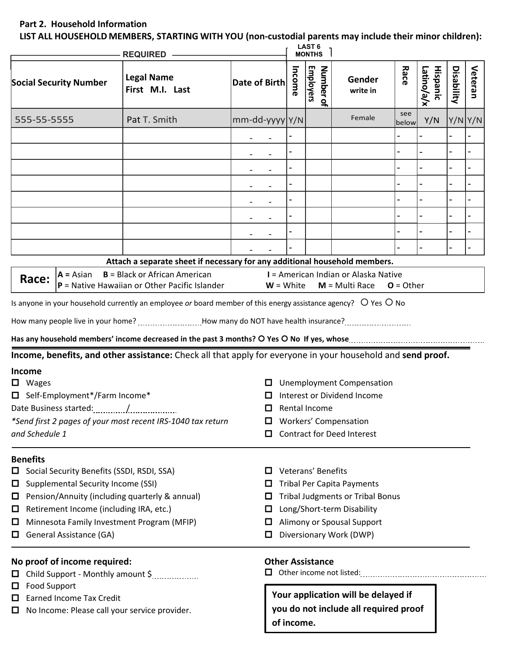## **Part 2. Household Information**

**LIST ALL HOUSEHOLD MEMBERS, STARTING WITH YOU (non-custodial parents may include their minor children):**

| <b>REQUIRED —</b>                                                 |                                                                                                                                                                                        |                                                                                                                                                                                                                                                                                                                                                                                                                                                                                                                                                                                              |                      | <b>LAST 6</b><br><b>MONTHS</b>  |                          |                                               |                                                                                                                                                                                                  |              |                               |            |         |
|-------------------------------------------------------------------|----------------------------------------------------------------------------------------------------------------------------------------------------------------------------------------|----------------------------------------------------------------------------------------------------------------------------------------------------------------------------------------------------------------------------------------------------------------------------------------------------------------------------------------------------------------------------------------------------------------------------------------------------------------------------------------------------------------------------------------------------------------------------------------------|----------------------|---------------------------------|--------------------------|-----------------------------------------------|--------------------------------------------------------------------------------------------------------------------------------------------------------------------------------------------------|--------------|-------------------------------|------------|---------|
|                                                                   | <b>Social Security Number</b>                                                                                                                                                          | <b>Legal Name</b><br>First M.I. Last                                                                                                                                                                                                                                                                                                                                                                                                                                                                                                                                                         | Date of Birth        |                                 | Income                   | <b>Employers</b><br>Number of                 | Gender<br>write in                                                                                                                                                                               | Race         | <b>Hispanic</b><br>Latino/a/x | Disability | Veteran |
| 555-55-5555                                                       |                                                                                                                                                                                        | Pat T. Smith                                                                                                                                                                                                                                                                                                                                                                                                                                                                                                                                                                                 | $mm$ -dd-yyyy $ Y/N$ |                                 |                          |                                               | Female                                                                                                                                                                                           | see<br>below | Y/N                           | Y/NY/N     |         |
|                                                                   |                                                                                                                                                                                        |                                                                                                                                                                                                                                                                                                                                                                                                                                                                                                                                                                                              |                      |                                 |                          |                                               |                                                                                                                                                                                                  |              |                               |            |         |
|                                                                   |                                                                                                                                                                                        |                                                                                                                                                                                                                                                                                                                                                                                                                                                                                                                                                                                              |                      |                                 |                          |                                               |                                                                                                                                                                                                  |              |                               |            |         |
|                                                                   |                                                                                                                                                                                        |                                                                                                                                                                                                                                                                                                                                                                                                                                                                                                                                                                                              |                      |                                 |                          |                                               |                                                                                                                                                                                                  |              |                               |            |         |
|                                                                   |                                                                                                                                                                                        |                                                                                                                                                                                                                                                                                                                                                                                                                                                                                                                                                                                              |                      |                                 |                          |                                               |                                                                                                                                                                                                  |              |                               |            |         |
|                                                                   |                                                                                                                                                                                        |                                                                                                                                                                                                                                                                                                                                                                                                                                                                                                                                                                                              |                      |                                 | $\overline{\phantom{0}}$ |                                               |                                                                                                                                                                                                  |              |                               |            |         |
|                                                                   |                                                                                                                                                                                        |                                                                                                                                                                                                                                                                                                                                                                                                                                                                                                                                                                                              |                      |                                 |                          |                                               |                                                                                                                                                                                                  |              |                               |            |         |
|                                                                   |                                                                                                                                                                                        |                                                                                                                                                                                                                                                                                                                                                                                                                                                                                                                                                                                              |                      |                                 |                          |                                               |                                                                                                                                                                                                  |              |                               |            |         |
|                                                                   |                                                                                                                                                                                        |                                                                                                                                                                                                                                                                                                                                                                                                                                                                                                                                                                                              |                      |                                 |                          |                                               |                                                                                                                                                                                                  |              |                               |            |         |
|                                                                   |                                                                                                                                                                                        | Attach a separate sheet if necessary for any additional household members.                                                                                                                                                                                                                                                                                                                                                                                                                                                                                                                   |                      |                                 |                          |                                               |                                                                                                                                                                                                  |              |                               |            |         |
| Race:<br>Income<br>$\Box$ Wages<br>and Schedule 1                 | $A = Asian$<br>□ Self-Employment*/Farm Income*                                                                                                                                         | $B = Black$ or African American<br>$P$ = Native Hawaiian or Other Pacific Islander<br>Is anyone in your household currently an employee or board member of this energy assistance agency? O Yes O No<br>How many people live in your home? How many do NOT have health insurance?<br>Has any household members' income decreased in the past 3 months? O Yes O No If yes, whose manufacture incontriving the N<br>Income, benefits, and other assistance: Check all that apply for everyone in your household and send proof.<br>*Send first 2 pages of your most recent IRS-1040 tax return |                      | $W = White$<br>$\Box$<br>ப<br>ш |                          | Rental Income                                 | I = American Indian or Alaska Native<br>$M = Multi Race$<br><b>Unemployment Compensation</b><br>Interest or Dividend Income<br><b>Workers' Compensation</b><br><b>Contract for Deed Interest</b> | $O = Other$  |                               |            |         |
| <b>Benefits</b><br>Ц<br>□<br>$\Box$<br>$\Box$<br>$\Box$<br>ш<br>ப | Social Security Benefits (SSDI, RSDI, SSA)<br>Supplemental Security Income (SSI)<br>Retirement Income (including IRA, etc.)<br>General Assistance (GA)<br>No proof of income required: | Pension/Annuity (including quarterly & annual)<br>Minnesota Family Investment Program (MFIP)<br>Child Support - Monthly amount \$                                                                                                                                                                                                                                                                                                                                                                                                                                                            |                      | О<br>ш<br>ш<br>□<br>ப<br>□      |                          | Veterans' Benefits<br><b>Other Assistance</b> | <b>Tribal Per Capita Payments</b><br><b>Tribal Judgments or Tribal Bonus</b><br>Long/Short-term Disability<br>Alimony or Spousal Support<br>Diversionary Work (DWP)                              |              |                               |            |         |
| Food Support<br>□<br>□<br>$\Box$                                  | <b>Earned Income Tax Credit</b>                                                                                                                                                        | No Income: Please call your service provider.                                                                                                                                                                                                                                                                                                                                                                                                                                                                                                                                                |                      |                                 | of income.               |                                               | Your application will be delayed if<br>you do not include all required proof                                                                                                                     |              |                               |            |         |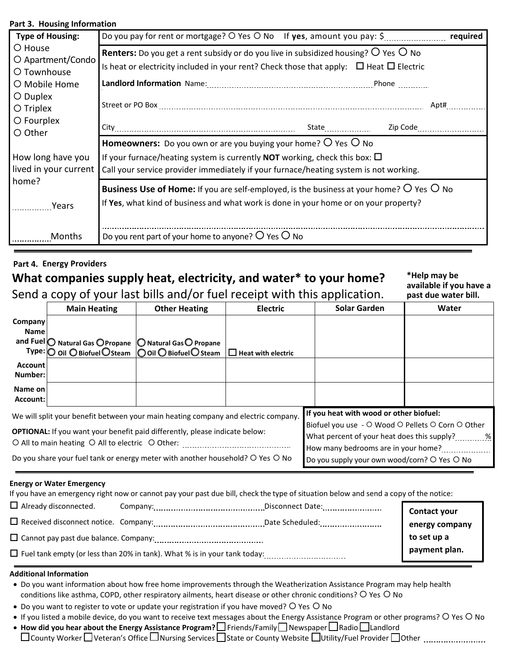#### **Part 3. Housing Information**

| <b>Type of Housing:</b>                                                                                      | required                                                                                                                                                                                                                                                             |  |
|--------------------------------------------------------------------------------------------------------------|----------------------------------------------------------------------------------------------------------------------------------------------------------------------------------------------------------------------------------------------------------------------|--|
| O House<br>O Apartment/Condo<br>O Townhouse<br>O Mobile Home<br>O Duplex<br>$\bigcirc$ Triplex<br>O Fourplex | <b>Renters:</b> Do you get a rent subsidy or do you live in subsidized housing? $\overline{O}$ Yes $\overline{O}$ No<br>Is heat or electricity included in your rent? Check those that apply: $\Box$ Heat $\Box$ Electric<br>Apt#                                    |  |
| O Other                                                                                                      | Zip Code<br>State <sub>nnumm</sub>                                                                                                                                                                                                                                   |  |
| How long have you<br>lived in your current                                                                   | <b>Homeowners:</b> Do you own or are you buying your home? $\circ$ Yes $\circ$ No<br>If your furnace/heating system is currently <b>NOT</b> working, check this box: $\Box$<br>Call your service provider immediately if your furnace/heating system is not working. |  |
| home?<br>Years                                                                                               | <b>Business Use of Home:</b> If you are self-employed, is the business at your home? $O$ Yes $O$ No<br>If Yes, what kind of business and what work is done in your home or on your property?                                                                         |  |
| Months                                                                                                       | Do you rent part of your home to anyone? $O$ Yes $O$ No                                                                                                                                                                                                              |  |

## **Part 4. Energy Providers**

# **What companies supply heat, electricity, and water\* to your home?**

Send a copy of your last bills and/or fuel receipt with this application.

**\*Help may be available if you have a past due water bill.**

|                                                                                                                                                                                                                                                                                                                                                                                                                                                                                                               | <b>Main Heating</b>                                        | <b>Other Heating</b>                                      | <b>Electric</b>           | <b>Solar Garden</b>                          | Water |
|---------------------------------------------------------------------------------------------------------------------------------------------------------------------------------------------------------------------------------------------------------------------------------------------------------------------------------------------------------------------------------------------------------------------------------------------------------------------------------------------------------------|------------------------------------------------------------|-----------------------------------------------------------|---------------------------|----------------------------------------------|-------|
| <b>Company</b><br><b>Name</b>                                                                                                                                                                                                                                                                                                                                                                                                                                                                                 |                                                            |                                                           |                           |                                              |       |
|                                                                                                                                                                                                                                                                                                                                                                                                                                                                                                               | and Fuel O Natural Gas O Propane   O Natural Gas O Propane | Type:   ○ Oil ○ Biofuel ○ Steam   ○ Oil ○ Biofuel ○ Steam | $\Box$ Heat with electric |                                              |       |
| <b>Account</b><br>Number:                                                                                                                                                                                                                                                                                                                                                                                                                                                                                     |                                                            |                                                           |                           |                                              |       |
| Name on<br>Account:                                                                                                                                                                                                                                                                                                                                                                                                                                                                                           |                                                            |                                                           |                           |                                              |       |
| If you heat with wood or other biofuel:<br>We will split your benefit between your main heating company and electric company.<br>Biofuel you use - O Wood O Pellets O Corn O Other<br><b>OPTIONAL:</b> If you want your benefit paid differently, please indicate below:<br>What percent of your heat does this supply? 					 %<br>O All to main heating O All to electric O Other:<br>the contract of the contract of the contract of the contract of the contract of<br>How many bedrooms are in your home? |                                                            |                                                           |                           |                                              |       |
| Do you share your fuel tank or energy meter with another household? O Yes O No                                                                                                                                                                                                                                                                                                                                                                                                                                |                                                            |                                                           |                           | Do you supply your own wood/corn? O Yes O No |       |

#### **Energy or Water Emergency**

If you have an emergency right now or cannot pay your past due bill, check the type of situation below and send a copy of the notice:

| $\Box$ Already disconnected.                 |                                                                                  | Disconnect Date: | Contact your                                   |
|----------------------------------------------|----------------------------------------------------------------------------------|------------------|------------------------------------------------|
| $\Box$ Received disconnect notice. Company:  |                                                                                  | Date Scheduled:  |                                                |
| $\Box$ Cannot pay past due balance. Company: |                                                                                  |                  | energy company<br>to set up a<br>payment plan. |
|                                              | $\Box$ Fuel tank empty (or less than 20% in tank). What % is in your tank today: |                  |                                                |

#### **Additional Information**

- Do you want information about how free home improvements through the Weatherization Assistance Program may help health conditions like asthma, COPD, other respiratory ailments, heart disease or other chronic conditions? O Yes O No
- Do you want to register to vote or update your registration if you have moved?  $\bigcirc$  Yes  $\bigcirc$  No
- If you listed a mobile device, do you want to receive text messages about the Energy Assistance Program or other programs? O Yes O No
- **How did you hear about the Energy Assistance Program?**  $\Box$  **Friends/Family**  $\Box$  **Newspaper**  $\Box$  **Radio**  $\Box$  **Landlord** County Worker Veteran's Office Nursing Services State or County Website Utility/Fuel Provider Other .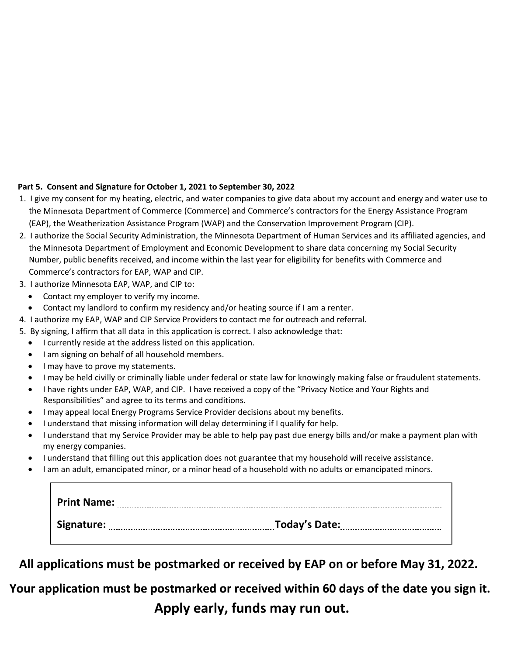## **Part 5. Consent and Signature for October 1, 2021 to September 30, 2022**

- 1. I give my consent for my heating, electric, and water companies to give data about my account and energy and water use to the Minnesota Department of Commerce (Commerce) and Commerce's contractors for the Energy Assistance Program (EAP), the Weatherization Assistance Program (WAP) and the Conservation Improvement Program (CIP).
- 2. I authorize the Social Security Administration, the Minnesota Department of Human Services and its affiliated agencies, and the Minnesota Department of Employment and Economic Development to share data concerning my Social Security Number, public benefits received, and income within the last year for eligibility for benefits with Commerce and Commerce's contractors for EAP, WAP and CIP.
- 3. I authorize Minnesota EAP, WAP, and CIP to:
	- Contact my employer to verify my income.
	- Contact my landlord to confirm my residency and/or heating source if I am a renter.
- 4. I authorize my EAP, WAP and CIP Service Providers to contact me for outreach and referral.
- 5. By signing, I affirm that all data in this application is correct. I also acknowledge that:
	- I currently reside at the address listed on this application.
	- I am signing on behalf of all household members.
	- I may have to prove my statements.
	- I may be held civilly or criminally liable under federal or state law for knowingly making false or fraudulent statements.
	- I have rights under EAP, WAP, and CIP. I have received a copy of the "Privacy Notice and Your Rights and Responsibilities" and agree to its terms and conditions.
	- I may appeal local Energy Programs Service Provider decisions about my benefits.
	- I understand that missing information will delay determining if I qualify for help.
	- I understand that my Service Provider may be able to help pay past due energy bills and/or make a payment plan with my energy companies.
	- I understand that filling out this application does not guarantee that my household will receive assistance.
	- I am an adult, emancipated minor, or a minor head of a household with no adults or emancipated minors.

| <b>Print Name:</b> |               |
|--------------------|---------------|
| Signature:         | Today's Date: |

**All applications must be postmarked or received by EAP on or before May 31, 2022.** 

**Your application must be postmarked or received within 60 days of the date you sign it.** 

**Apply early, funds may run out.**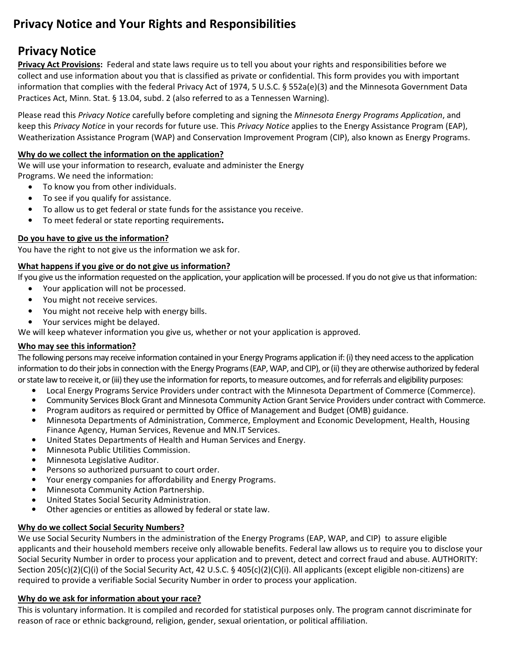# **Privacy Notice and Your Rights and Responsibilities**

## **Privacy Notice**

**Privacy Act Provisions:** Federal and state laws require us to tell you about your rights and responsibilities before we collect and use information about you that is classified as private or confidential. This form provides you with important information that complies with the federal Privacy Act of 1974, 5 U.S.C. § 552a(e)(3) and the Minnesota Government Data Practices Act, Minn. Stat. § 13.04, subd. 2 (also referred to as a Tennessen Warning).

Please read this *Privacy Notice* carefully before completing and signing the *Minnesota Energy Programs Application*, and keep this *Privacy Notice* in your records for future use. This *Privacy Notice* applies to the Energy Assistance Program (EAP), Weatherization Assistance Program (WAP) and Conservation Improvement Program (CIP), also known as Energy Programs.

## **Why do we collect the information on the application?**

We will use your information to research, evaluate and administer the Energy Programs. We need the information:

- To know you from other individuals.
- To see if you qualify for assistance.
- To allow us to get federal or state funds for the assistance you receive.
- To meet federal or state reporting requirements**.**

## **Do you have to give us the information?**

You have the right to not give us the information we ask for.

## **What happens if you give or do not give us information?**

If you give us the information requested on the application, your application will be processed. If you do not give us that information:

- Your application will not be processed.
- You might not receive services.
- You might not receive help with energy bills.
- Your services might be delayed.

We will keep whatever information you give us, whether or not your application is approved.

## **Who may see this information?**

The following persons may receive information contained in your Energy Programs application if: (i) they need access to the application information to do their jobs in connection with the Energy Programs (EAP, WAP, and CIP), or (ii) they are otherwise authorized by federal orstate law to receive it, or (iii) they use the information for reports, to measure outcomes, and for referrals and eligibility purposes:

- Local Energy Programs Service Providers under contract with the Minnesota Department of Commerce (Commerce).
- Community Services Block Grant and Minnesota Community Action Grant Service Providers under contract with Commerce.
- Program auditors as required or permitted by Office of Management and Budget (OMB) guidance.
- Minnesota Departments of Administration, Commerce, Employment and Economic Development, Health, Housing Finance Agency, Human Services, Revenue and MN.IT Services.
- United States Departments of Health and Human Services and Energy.
- Minnesota Public Utilities Commission.
- Minnesota Legislative Auditor.
- Persons so authorized pursuant to court order.
- Your energy companies for affordability and Energy Programs.
- Minnesota Community Action Partnership.
- United States Social Security Administration.
- Other agencies or entities as allowed by federal or state law.

## **Why do we collect Social Security Numbers?**

We use Social Security Numbers in the administration of the Energy Programs (EAP, WAP, and CIP) to assure eligible applicants and their household members receive only allowable benefits. Federal law allows us to require you to disclose your Social Security Number in order to process your application and to prevent, detect and correct fraud and abuse. AUTHORITY: Section 205(c)(2)(C)(i) of the Social Security Act, 42 U.S.C. § 405(c)(2)(C)(i). All applicants (except eligible non-citizens) are required to provide a verifiable Social Security Number in order to process your application.

## **Why do we ask for information about your race?**

This is voluntary information. It is compiled and recorded for statistical purposes only. The program cannot discriminate for reason of race or ethnic background, religion, gender, sexual orientation, or political affiliation.